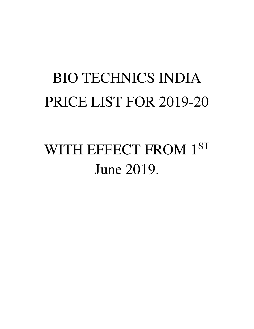# BIO TECHNICS INDIA PRICE LIST FOR 2019-20

# WITH EFFECT FROM 1ST June 2019.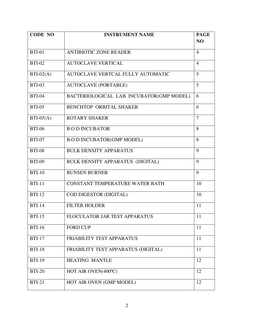| <b>CODE NO</b> | <b>INSTRUMENT NAME</b>                   |                |  |
|----------------|------------------------------------------|----------------|--|
|                |                                          | N <sub>O</sub> |  |
| <b>BTI-01</b>  | <b>ANTIBIOTIC ZONE READER</b>            | $\overline{4}$ |  |
| <b>BTI-02</b>  | <b>AUTOCLAVE VERTICAL</b>                | $\overline{4}$ |  |
| $BTI-02(A)$    | AUTOCLAVE VERTCAL FULLY AUTOMATIC        | 5              |  |
| <b>BTI-03</b>  | <b>AUTOCLAVE (PORTABLE)</b>              | 5              |  |
| <b>BTI-04</b>  | BACTERIOLOGICAL LAB INCUBATOR(GMP MODEL) | 6              |  |
| <b>BTI-05</b>  | <b>BENCHTOP ORBITAL SHAKER</b>           | 6              |  |
| $BTI-05(A)$    | <b>ROTARY SHAKER</b>                     | $\overline{7}$ |  |
| <b>BTI-06</b>  | <b>B.O.D INCUBATOR</b>                   | 8              |  |
| <b>BTI-07</b>  | <b>B.O.D INCUBATOR(GMP MODEL)</b>        | 8              |  |
| <b>BTI-08</b>  | <b>BULK DENSITY APPARATUS</b>            | 9              |  |
| <b>BTI-09</b>  | BULK DENSITY APPARATUS (DIGITAL)         | 9              |  |
| <b>BTI-10</b>  | <b>BUNSEN BURNER</b>                     | 9              |  |
| <b>BTI-11</b>  | CONSTANT TEMPERATURE WATER BATH          | 10             |  |
| <b>BTI-12</b>  | COD DIGESTOR (DIGITAL)                   | 10             |  |
| <b>BTI-14</b>  | <b>FILTER HOLDER</b>                     | 11             |  |
| $BTI-15$       | FLOCULATOR JAR TEST APPARATUS            | 11             |  |
| <b>BTI-16</b>  | <b>FORD CUP</b>                          | 11             |  |
| <b>BTI-17</b>  | FRIABILITY TEST APPARATUS                | 11             |  |
| <b>BTI-18</b>  | FRIABILITY TEST APPARATUS (DIGITAL)      | 11             |  |
| <b>BTI-19</b>  | <b>HEATING MANTLE</b>                    | 12             |  |
| <b>BTI-20</b>  | HOT AIR OVEN(400°C)                      | 12             |  |
| <b>BTI-21</b>  | HOT AIR OVEN (GMP MODEL)                 | 12             |  |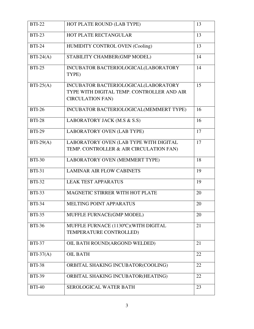| $\overline{BTI-22}$ | HOT PLATE ROUND (LAB TYPE)                                                                                    | 13 |
|---------------------|---------------------------------------------------------------------------------------------------------------|----|
| <b>BTI-23</b>       | HOT PLATE RECTANGULAR                                                                                         | 13 |
| <b>BTI-24</b>       | HUMIDITY CONTROL OVEN (Cooling)                                                                               | 13 |
| $BTI-24(A)$         | STABILITY CHAMBER(GMP MODEL)                                                                                  | 14 |
| <b>BTI-25</b>       | INCUBATOR BACTERIOLOGICAL(LABORATORY<br>TYPE)                                                                 | 14 |
| $BTI-25(A)$         | INCUBATOR BACTERIOLOGICAL(LABORATORY<br>TYPE WITH DIGITAL TEMP. CONTROLLER AND AIR<br><b>CIRCULATION FAN)</b> | 15 |
| <b>BTI-26</b>       | INCUBATOR BACTERIOLOGICAL(MEMMERT TYPE)                                                                       | 16 |
| <b>BTI-28</b>       | LABORATORY JACK (M.S & S.S)                                                                                   | 16 |
| <b>BTI-29</b>       | <b>LABORATORY OVEN (LAB TYPE)</b>                                                                             | 17 |
| $BTI-29(A)$         | LABORATORY OVEN (LAB TYPE WITH DIGITAL<br>TEMP. CONTROLLER & AIR CIRCULATION FAN)                             | 17 |
| <b>BTI-30</b>       | LABORATORY OVEN (MEMMERT TYPE)                                                                                | 18 |
| <b>BTI-31</b>       | <b>LAMINAR AIR FLOW CABINETS</b>                                                                              | 19 |
| <b>BTI-32</b>       | <b>LEAK TEST APPARATUS</b>                                                                                    | 19 |
| <b>BTI-33</b>       | <b>MAGNETIC STIRRER WITH HOT PLATE</b>                                                                        | 20 |
| <b>BTI-34</b>       | MELTING POINT APPARATUS                                                                                       | 20 |
| <b>BTI-35</b>       | MUFFLE FURNACE(GMP MODEL)                                                                                     | 20 |
| <b>BTI-36</b>       | MUFFLE FURNACE (1130°C) (WITH DIGITAL<br>TEMPERATURE CONTROLLED)                                              | 21 |
| <b>BTI-37</b>       | OIL BATH ROUND(ARGOND WELDED)                                                                                 | 21 |
| $BTI-37(A)$         | <b>OIL BATH</b>                                                                                               | 22 |
| <b>BTI-38</b>       | ORBITAL SHAKING INCUBATOR(COOLING)                                                                            | 22 |
| <b>BTI-39</b>       | ORBITAL SHAKING INCUBATOR(HEATING)                                                                            | 22 |
| <b>BTI-40</b>       | <b>SEROLOGICAL WATER BATH</b>                                                                                 | 23 |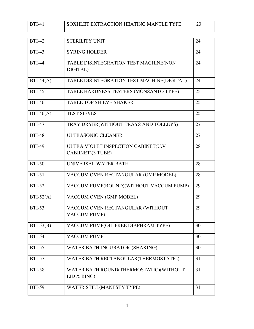| <b>RTI</b> | SOXHLET EXTRACTION HEATING MANTLE TYPE |  |
|------------|----------------------------------------|--|
|            |                                        |  |

| <b>BTI-42</b> | <b>STERILITY UNIT</b>                                    | 24 |  |  |
|---------------|----------------------------------------------------------|----|--|--|
| <b>BTI-43</b> | <b>SYRING HOLDER</b>                                     | 24 |  |  |
| <b>BTI-44</b> | TABLE DISINTEGRATION TEST MACHINE(NON<br>DIGITAL)        |    |  |  |
| $BTI-44(A)$   | TABLE DISINTEGRATION TEST MACHINE(DIGITAL)               | 24 |  |  |
| <b>BTI-45</b> | TABLE HARDNESS TESTERS (MONSANTO TYPE)                   | 25 |  |  |
| <b>BTI-46</b> | <b>TABLE TOP SHIEVE SHAKER</b>                           | 25 |  |  |
| $BTI-46(A)$   | <b>TEST SIEVES</b>                                       | 25 |  |  |
| <b>BTI-47</b> | TRAY DRYER(WITHOUT TRAYS AND TOLLEYS)                    | 27 |  |  |
| <b>BTI-48</b> | ULTRASONIC CLEANER                                       | 27 |  |  |
| <b>BTI-49</b> | ULTRA VIOLET INSPECTION CABINET(U.V<br>CABIINET)(3 TUBE) | 28 |  |  |
| <b>BTI-50</b> | UNIVERSAL WATER BATH                                     | 28 |  |  |
| <b>BTI-51</b> | VACCUM OVEN RECTANGULAR (GMP MODEL)                      | 28 |  |  |
| <b>BTI-52</b> | VACCUM PUMP(ROUND)(WITHOUT VACCUM PUMP)                  | 29 |  |  |
| $BTI-52(A)$   | VACCUM OVEN (GMP MODEL)                                  | 29 |  |  |
| <b>BTI-53</b> | VACCUM OVEN RECTANGULAR (WITHOUT<br><b>VACCUM PUMP)</b>  | 29 |  |  |
| $BTI-53(B)$   | VACCUM PUMP(OIL FREE DIAPHRAM TYPE)                      | 30 |  |  |
| <b>BTI-54</b> | <b>VACCUM PUMP</b>                                       | 30 |  |  |
| <b>BTI-55</b> | WATER BATH-INCUBATOR-(SHAKING)                           | 30 |  |  |
| <b>BTI-57</b> | WATER BATH RECTANGULAR(THERMOSTATIC)                     | 31 |  |  |
| <b>BTI-58</b> | WATER BATH ROUND(THERMOSTATIC)(WITHOUT<br>LID & RING     | 31 |  |  |
| <b>BTI-59</b> | WATER STILL(MANESTY TYPE)                                | 31 |  |  |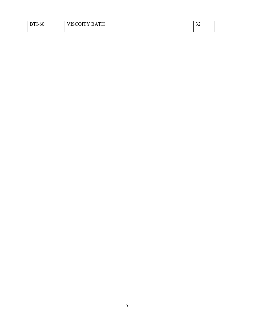| $I-60$<br><b>RTI</b> | VISCOITY BATH | $\sim$<br>◡ |
|----------------------|---------------|-------------|
|                      |               |             |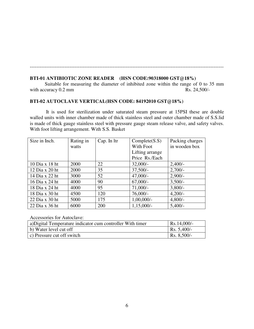#### **BTI-01 ANTIBIOTIC ZONE READER (HSN CODE:90318000 GST@18%)**  Suitable for measuring the diameter of inhibited zone within the range of 0 to 35 mm curacy 0.2 mm Rs. 24.500/with accuracy  $0.2$  mm

---------------------------------------------------------------------------------------------------------------------

#### **BTI-02 AUTOCLAVE VERTICAL(HSN CODE: 84192010 GST@18%)**

 It is used for sterilization under saturated steam pressure at 15PSI these are double walled units with inner chamber made of thick stainless steel and outer chamber made of S.S.lid is made of thick gauge stainless steel with pressure gauge steam release valve, and safety valves. With foot lifting arrangement. With S.S. Basket

| Size in Inch.      | Rating in | Cap. In ltr | Complete(S.S)   | Packing charges |
|--------------------|-----------|-------------|-----------------|-----------------|
|                    | watts     |             | With Foot       | in wooden box   |
|                    |           |             | Lifting arrange |                 |
|                    |           |             | Price Rs./Each  |                 |
| $10$ Dia x $18$ ht | 2000      | 22          | $32,000/-$      | $2,400/-$       |
| 12 Dia x 20 ht     | 2000      | 35          | $37,500/-$      | $2,700/-$       |
| 14 Dia x 22 ht     | 3000      | 52          | $47,000/-$      | $2,900/-$       |
| 16 Dia x 24 ht     | 4000      | 90          | $67,000/-$      | $3,500/-$       |
| 18 Dia x 24 ht     | 4000      | 95          | $71,000/-$      | $3,800/-$       |
| 18 Dia x 30 ht     | 4500      | 120         | $76,000/-$      | $4,200/-$       |
| 22 Dia x 30 ht     | 5000      | 175         | $1,00,000/-$    | $4,800/-$       |
| 22 Dia x 36 ht     | 6000      | 200         | $1,15,000/-$    | $5,400/-$       |

Accessories for Autoclave:

| a) Digital Temperature indicator cum controller With timer | $Rs.14,000/-$       |
|------------------------------------------------------------|---------------------|
| b) Water level cut off                                     | $\vert$ Rs. 5,400/- |
| $\vert$ c) Pressure cut off switch                         | Rs. 8,500/-         |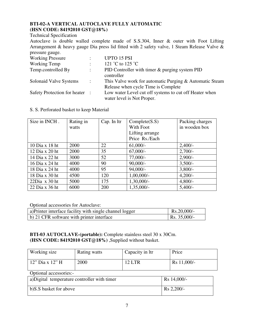#### **BTI-02-A VERTICAL AUTOCLAVE FULLY AUTOMATIC (HSN CODE: 84192010 GST@18%)**

Technical Specification

Autoclave is double walled complete made of S.S.304, Inner & outer with Foot Lifting Arrangement & heavy gauge Dia press lid fitted with 2 safety valve, 1 Steam Release Valve & pressure gauge.

| <b>Working Pressure</b>        | ٠                         | <b>UPTO 15 PSI</b>                                                                             |
|--------------------------------|---------------------------|------------------------------------------------------------------------------------------------|
| Working Temp                   | $\mathbb{R}^{\mathbb{Z}}$ | 121 °C to 125 °C                                                                               |
| Temp.controlled By             | ÷                         | PID Controller with timer & purging system PID<br>controller                                   |
| Solonaid Valve Systems         | $\mathbb{Z}$              | This Valve work for automatic Purging & Automatic Steam<br>Release when cycle Time is Complete |
| Safety Protection for heater : |                           | Low water Level cut off systems to cut off Heater when<br>water level is Not Proper.           |

#### S. S. Perforated basket to keep Material

| Size in INCH.    | Rating in<br>watts | Cap. In ltr | Complete(S.S)<br>With Foot<br>Lifting arrange<br>Price Rs./Each | Packing charges<br>in wooden box |
|------------------|--------------------|-------------|-----------------------------------------------------------------|----------------------------------|
| 10 Dia x 18 ht   | 2000               | 22          | $61,000/-$                                                      | $2,400/-$                        |
| 12 Dia x 20 ht   | 2000               | 35          | $67,000/-$                                                      | $2,700/-$                        |
| 14 Dia x 22 ht   | 3000               | 52          | $77,000/-$                                                      | $2,900/-$                        |
| 16 Dia x 24 ht   | 4000               | 90          | $90,000/-$                                                      | $3,500/-$                        |
| 18 Dia x 24 ht   | 4000               | 95          | $94,000/-$                                                      | $3,800/-$                        |
| 18 Dia x 30 ht   | 4500               | 120         | $1,00,000/-$                                                    | $4,200/-$                        |
| $22$ Dia x 30 ht | 5000               | 175         | 1,30,000/-                                                      | $4,800/-$                        |
| 22 Dia x 36 ht   | 6000               | 200         | 1,35,000/-                                                      | $5,400/-$                        |

Optional accessories for Autoclave:

| a) Printer interface facility with single channel logger | $Rs.20,000/$ -       |
|----------------------------------------------------------|----------------------|
| b) 21 CFR software with printer interface                | $\vert$ Rs. 35,000/- |

**BTI-03 AUTOCLAVE-(portable):** Complete stainless steel 30 x 30Cm. **(HSN CODE: 84192010 GST@18%)** ,Supplied without basket.

| Working size                                               | Rating watts | Capacity in Itr | Price       |  |  |
|------------------------------------------------------------|--------------|-----------------|-------------|--|--|
| 12" Dia x 12" H                                            | 2000         | <b>12 LTR</b>   | Rs 11,000/- |  |  |
| Optional accessories:-                                     |              |                 |             |  |  |
| a)Digital temperature controller with timer<br>Rs 14,000/- |              |                 |             |  |  |
| b)S.S basket for above                                     |              |                 | Rs 2,200/-  |  |  |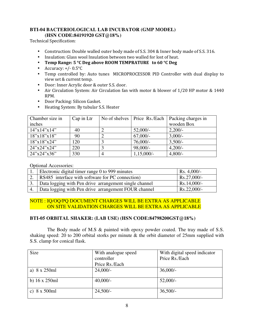#### **BTI-04 BACTERIOLOGICAL LAB INCUBATOR (GMP MODEL) (HSN CODE:84191920 GST@18%)**

Technical Specification:

- Construction: Double walled outer body made of S.S. 304 & Inner body made of S.S. 316.
- Insulation: Glass wool Insulation between two walled for lost of heat.
- **Temp Range: 5 °C Deg above ROOM TEMPRATURE to 60 °C Deg**
- Accuracy:  $+/- 0.5$ °C
- Temp controlled by: Auto tunes MICROPROCESSOR PID Controller with dual display to view set & current temp.
- Door: Inner Acrylic door & outer S.S. door.
- Air Circulation System: Air Circulation fan with motor & blower of 1/20 HP motor & 1440 RPM.
- Door Packing: Silicon Gasket.
- Heating System: By tubular S.S. Heater

| Chamber size in          | Cap in Ltr | No of shelves   Price Rs./Each | Packing charges in |
|--------------------------|------------|--------------------------------|--------------------|
| inches                   |            |                                | wooden Box         |
| $14''$ x $14''$ x $14''$ | 40         | $52,000/-$                     | $2,200/-$          |
| 18"x18"x18"              | 90         | $67,000/-$                     | $3,000/-$          |
| 18"x18"x24"              | 120        | $76,000/-$                     | $3,500/-$          |
| 24"x24"x24"              | 220        | $98,000/-$                     | $4,200/-$          |
| 24"x24"x36"              | 330        | $1,15,000/-$                   | $4,800/-$          |

Optional Accessories:

| Electronic digital timer range 0 to 999 minutes             | $\vert$ Rs. 4,000/- |
|-------------------------------------------------------------|---------------------|
| RS485 interface with software for PC connection)            | $Rs.27,000/-$       |
| 3.   Data logging with Pen drive arrangement single channel | $RS.14,000/-$       |
| Data logging with Pen drive arrangement FOUR channel        | $Rs.22,000/-$       |

#### NOTE : IQ/OQ/PQ DOCUMENT CHARGES WILL BE EXTRA AS APPLICABLE ON SITE VALIDATION CHARGES WILL BE EXTRA AS APPLICABLE

#### **BTI-05 ORBITAL SHAKER: (LAB USE) (HSN CODE:84798200GST@18%)**

 The Body made of M.S & painted with epoxy powder coated. The tray made of S.S. shaking speed: 20 to 200 orbital storks per minute & the orbit diameter of 25mm supplied with S.S. clamp for conical flask.

| <b>Size</b>           | With analogue speed | With digital speed indicator |
|-----------------------|---------------------|------------------------------|
|                       | controller          | Price Rs./Each               |
|                       | Price Rs./Each      |                              |
| a) $8 \times 250$ ml  | $24,000/-$          | $36,000/-$                   |
| b) $16 \times 250$ ml | $40,000/-$          | $52,000/-$                   |
| c) $8 \times 500$ ml  | $24,500/-$          | $36,500/-$                   |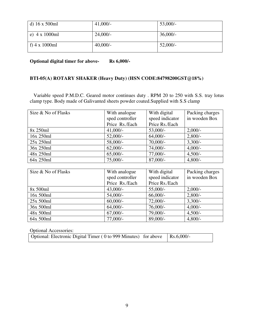| d) $16 \times 500$ ml | $41,000/-$  | $53,000/-$ |
|-----------------------|-------------|------------|
| e) $4 \times 1000$ ml | $24,000/-$  | $36,000/-$ |
| f) $4 \times 1000$ ml | $40,000/$ - | $52,000/-$ |

**Optional digital timer for above- Rs 6,000/-**

#### **BTI-05(A) ROTARY SHAKER (Heavy Duty) (HSN CODE:84798200GST@18%)**

 Variable speed P.M.D.C. Geared motor continues duty . RPM 20 to 250 with S.S. tray lotus clamp type. Body made of Galivanted sheets powder coated.Supplied with S.S clamp

| Size & No of Flasks | With analogue   | With digital    | Packing charges |
|---------------------|-----------------|-----------------|-----------------|
|                     | sped controller | speed indicator | in wooden Box   |
|                     | Price Rs./Each  | Price Rs./Each  |                 |
| 8x 250ml            | $41,000/-$      | $53,000/-$      | $2,000/-$       |
| 16x 250ml           | $52,000/-$      | $64,000/-$      | $2,800/-$       |
| 25x 250ml           | $58,000/-$      | $70,000/-$      | $3,300/-$       |
| 36x 250ml           | $62,000/-$      | $74,000/-$      | $4,000/-$       |
| 48x 250ml           | $65,000/-$      | $77,000/-$      | $4,500/-$       |
| 64x 250ml           | $75,000/-$      | $87,000/-$      | $4,800/-$       |

| Size & No of Flasks | With analogue   | With digital    | Packing charges |
|---------------------|-----------------|-----------------|-----------------|
|                     | sped controller | speed indicator | in wooden Box   |
|                     | Price Rs./Each  | Price Rs./Each  |                 |
| 8x 500ml            | $43,000/-$      | $55,000/-$      | $2,000/-$       |
| 16x 500ml           | $54,000/-$      | $66,000/-$      | $2,800/-$       |
| 25x 500ml           | $60,000/$ -     | $72,000/-$      | $3,300/-$       |
| 36x 500ml           | $64,000/-$      | $76,000/-$      | $4,000/-$       |
| 48x 500ml           | $67,000/-$      | 79,000/-        | $4,500/-$       |
| 64x 500ml           | $77,000/-$      | 89,000/-        | $4,800/-$       |

| <b>Optional Accessories:</b>                                                          |  |
|---------------------------------------------------------------------------------------|--|
| Optional: Electronic Digital Timer ( $0$ to 999 Minutes) for above $\vert$ Rs.6,000/- |  |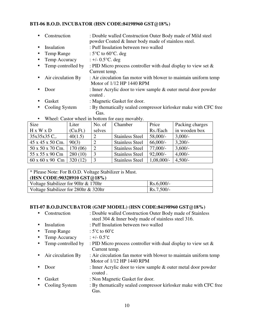#### **BTI-06 B.O.D. INCUBATOR (HSN CODE:84198960 GST@18%)**

- Construction : Double walled Construction Outer Body made of Mild steel powder Coated & Inner body made of stainless steel.
- Insulation : Puff Insulation between two walled
- Temp Range  $: 5^{\circ}C$  to 60 $^{\circ}C$ . deg
- Temp Accuracy  $: +/- 0.5$ °C. deg
- Temp controlled by : PID Micro process controller with dual display to view set  $\&$ Current temp.
- Air circulation By : Air circulation fan motor with blower to maintain uniform temp Motor of 1/12 HP 1440 RPM
- Door : Inner Acrylic door to view sample & outer metal door powder coated .
- Gasket : Magnetic Gasket for door.
- Cooling System : By thematically sealed compressor kirlosker make with CFC free Gas.
- Wheel: Castor wheel in bottom for easy movably.

| Size                        | Liter    | No. of | Chamber                | Price        | Packing charges |
|-----------------------------|----------|--------|------------------------|--------------|-----------------|
| $H \times W \times D$       | (Cu.Ft.) | selves |                        | Rs./Each     | in wooden box   |
| 35x35x35 C.                 | 40(1.5)  |        | <b>Stainless Steel</b> | 58,000/-     | $3,000/-$       |
| 45 x 45 x 50 Cm.            | 90(3)    |        | <b>Stainless Steel</b> | $66,000/-$   | 3,200/          |
| 50 x 50 x 70 Cm.            | 170 (06) |        | <b>Stainless Steel</b> | $77,000/-$   | $3,600/$ -      |
| 55 x 55 x 90 Cm             | 280(10)  |        | <b>Stainless Steel</b> | $92,000/-$   | $4,000/-$       |
| $60 \times 60 \times 90$ Cm | 320(12)  |        | <b>Stainless Steel</b> | $1,08,000/-$ | $4,500/-$       |

| * Please Note: For B.O.D. Voltage Stabilizer is Must.<br>(HSN CODE:90328910 GST@18%) |              |  |  |
|--------------------------------------------------------------------------------------|--------------|--|--|
| Voltage Stabilizer for 901tr & 1701tr                                                | $Rs.6,000/-$ |  |  |
| Voltage Stabilizer for 280ltr & 320ltr                                               | $Rs.7,500/-$ |  |  |

### **BTI-07 B.O.D.INCUBATOR (GMP MODEL) (HSN CODE:84198960 GST@18%)**

|           | Construction       | : Double walled Construction Outer Body made of Stainless<br>steel 304 & Inner body made of stainless steel 316. |
|-----------|--------------------|------------------------------------------------------------------------------------------------------------------|
| $\bullet$ | Insulation         | : Puff Insulation between two walled                                                                             |
| $\bullet$ | Temp Range         | : $5^{\circ}$ C to $60^{\circ}$ C                                                                                |
| $\bullet$ | Temp Accuracy      | : +/- $0.5^{\circ}$ C                                                                                            |
| $\bullet$ | Temp controlled by | : PID Micro process controller with dual display to view set $\&$<br>Current temp.                               |
| $\bullet$ | Air circulation By | : Air circulation fan motor with blower to maintain uniform temp<br>Motor of 1/12 HP 1440 RPM                    |
|           | Door               | : Inner Acrylic door to view sample & outer metal door powder<br>coated.                                         |
| $\bullet$ | Gasket             | : Non Magnetic Gasket for door.                                                                                  |
| $\bullet$ | Cooling System     | : By thematically sealed compressor kirlosker make with CFC free<br>Gas.                                         |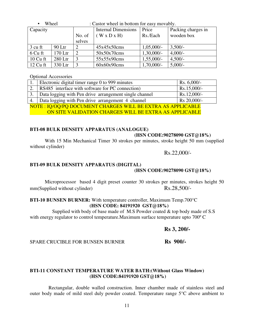|            | Wheel    |                             | : Castor wheel in bottom for easy movably. |              |                    |
|------------|----------|-----------------------------|--------------------------------------------|--------------|--------------------|
| Capacity   |          |                             | <b>Internal Dimensions</b>                 | Price        | Packing charges in |
|            |          | No. of                      | $(W \times D \times H)$                    | Rs./Each     | wooden box         |
|            |          | selves                      |                                            |              |                    |
| 3 cu ft    | $90$ Ltr | 2                           | 45x45x50cms                                | $1,05,000/-$ | $3,500/-$          |
| 6 Cu ft    | 170 Ltr  | $\mathcal{D}_{\mathcal{A}}$ | 50x50x70cms                                | $1,30,000/-$ | $4,000/-$          |
| $10$ Cu ft | 280 Ltr  | 3                           | 55x55x90cms                                | $1,55,000/-$ | $4,500/-$          |
| $12$ Cu ft | 330 Ltr  |                             | 60x60x90cms                                | $1,70,000/-$ | $5,000/-$          |

Optional Accessories

|                                                             | 1. Electronic digital timer range 0 to 999 minutes     | Rs. $6,000/-$ |  |  |
|-------------------------------------------------------------|--------------------------------------------------------|---------------|--|--|
| 2.                                                          | RS485 interface with software for PC connection)       | Rs.15,000/-   |  |  |
|                                                             | Data logging with Pen drive arrangement single channel | $Rs.12,000/-$ |  |  |
|                                                             | 4.   Data logging with Pen drive arrangement 4 channel | Rs 20,000/-   |  |  |
| NOTE: IQ/OQ/PQ DOCUMENT CHARGES WILL BE EXTRA AS APPLICABLE |                                                        |               |  |  |

ON SITE VALIDATION CHARGES WILL BE EXTRA AS APPLICABLE

#### **BTI-08 BULK DENSITY APPARATUS (ANALOGUE)**

#### **(HSN CODE:90278090 GST@18%)**

 With 15 Min Mechanical Timer 30 strokes per minutes, stroke height 50 mm (supplied without cylinder)

Rs.22,000/-

#### **BTI-09 BULK DENSITY APPARATUS (DIGITAL)**

#### **(HSN CODE:90278090 GST@18%)**

 Microprocessor based 4 digit preset counter 30 strokes per minutes, strokes height 50 mm(Supplied without cylinder) Rs.28,500/-

#### **BTI-10 BUNSEN BURNER:** With temperature controller, Maximum Temp.700°C **(HSN CODE: 84191920 GST@18%)**

 Supplied with body of base made of M.S Powder coated & top body made of S.S with energy regulator to control temperature.Maximum surface temperature upto 700º C

**Rs 3, 200/-** 

SPARE CRUCIBLE FOR BUNSEN BURNER **Rs 900/-**

#### **BTI-11 CONSTANT TEMPERATURE WATER BATH:(Without Glass Window) (HSN CODE:84191920 GST@18%)**

 Rectangular, double walled construction. Inner chamber made of stainless steel and outer body made of mild steel duly powder coated. Temperature range 5°C above ambient to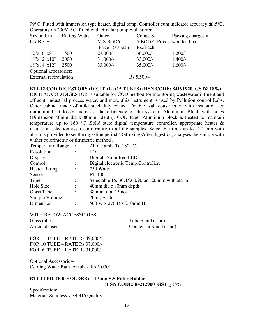99°C. Fitted with immersion type heater, digital temp. Controller cum indicator accuracy  $\pm 0.5$ °C. Operating on 230V AC. fitted with circular pump with stirrer.

| Size in Cm.           | <b>Ratting Watts</b>                   | Outer          | Comp. S.     | Packing charges in |  |  |
|-----------------------|----------------------------------------|----------------|--------------|--------------------|--|--|
| L x B x H             |                                        | M.S.BODY       | S.BODY Price | wooden box         |  |  |
|                       |                                        | Price Rs./Each | Rs./Each     |                    |  |  |
| 12"x10"x8"            | 1500                                   | $27,000/-$     | $30,000/-$   | $1,200/-$          |  |  |
| 18"x12"x10"           | 2000                                   | $31,000/-$     | $33,000/-$   | $1,400/-$          |  |  |
| 18"x14"x12"           | 2500                                   | $33,000/-$     | $35,000/-$   | $1,600/-$          |  |  |
| Optional accessories: |                                        |                |              |                    |  |  |
|                       | External recirculation<br>$Rs.5,500/-$ |                |              |                    |  |  |

**BTI-12 COD DIGESTORS (DIGITAL) (15 TUBES) (HSN CODE: 84191920 GST@18%)**  DIGITAL COD DIGESTOR is suitable for COD method for monitoring wastewater influent and effluent, industrial process water, and more .this instrument is used by Pollution control Labs. Outer cabinet made of mild steel duly coated. Double wall construction with insulation for minimum heat losses increases the efficiency of the system .Aluminum Block with holes (Dimension 40mm dia x 80mm depth). COD tubes Aluminum block is heated to maintain temperature up to 180 °C. Solid state digital temperature controller, appropriate heater  $\&$ insulation selection assure uniformity in all the samples. Selectable time up to 120 min with alarm is provided to set the digestion period (Refluxing)After digestion, analyses the sample with wither colorimetric or titrimetric method

| <b>Temperature Range</b> |                | Above amb. To 180 °C.                            |
|--------------------------|----------------|--------------------------------------------------|
| Resolution               |                | $1^{\circ}C$ .                                   |
| Display                  |                | Digital 12mm Red LED.                            |
| Control                  | $\ddot{\cdot}$ | Digital electronic Temp.Controller.              |
| <b>Heater Rating</b>     |                | 750 Watts.                                       |
| Sensor                   |                | PT-100                                           |
| Timer                    | ÷              | Selectable 15, 30,45,60,90 or 120 min with alarm |
| Hole Size                | $\ddot{\cdot}$ | 40mm dia c 80mm depth.                           |
| Glass Tube               | ٠              | 38 mm .dia, 15 nos                               |
| Sample Volume            | $\ddot{\cdot}$ | 20ml, Each                                       |
| Dimension                |                | 500 W x 270 D x 210mm H                          |

#### WITH BELOW ACCESSORIES

| Glass tubes   | Tube Stand (1 no)      |
|---------------|------------------------|
| Air condenser | Condenser Stand (1 no) |

FOR 15 TUBE – RATE Rs 49,000/- FOR 10 TUBE – RATE Rs 37,000/- FOR 6 TUBE – RATE Rs 31,000/-

Optional Accessories-Cooling Water Bath for tube- Rs 5,000/

#### **BTI-14 FILTER HOLDER: 47mm S.S Filter Holder (HSN CODE: 84212900 GST@18%)**

Specification: Material: Stainless steel 316 Quality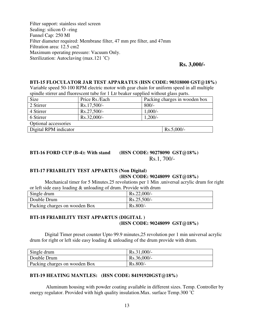Filter support: stainless steel screen Sealing: silicon O –ring Funnel Cap: 250 Ml Filter diameter required: Membrane filter, 47 mm pre filter, and 47mm Filtration area: 12.5 cm2 Maximum operating pressure: Vacuum Only. Sterilization: Autoclaving (max.121 °C)

#### **Rs. 3,000/-**

#### **BTI-15 FLOCULATOR JAR TEST APPARATUS (HSN CODE: 90318000 GST@18%)**

Variable speed 50-100 RPM electric motor with gear chain for uniform speed in all multiple spindle stirrer and fluorescent tube for 1 Ltr beaker supplied without glass parts.

| Size                  | Price Rs./Each |           | Packing charges in wooden box |
|-----------------------|----------------|-----------|-------------------------------|
| 2 Stirrer             | $Rs.17,500/-$  | $800/-$   |                               |
| 4 Stirrer             | $Rs.27,500/-$  | $1,000/-$ |                               |
| 6 Stirrer             | $Rs.32,000/-$  | $1,200/-$ |                               |
| Optional accessories  |                |           |                               |
| Digital RPM indicator |                |           | $Rs.5,000/-$                  |

#### **BTI-16 FORD CUP (B-4): With stand (HSN CODE: 90278090 GST@18%)**

Rs.1, 700/-

#### **BTI-17 FRIABILITY TEST APPARTUS (Non Digital) (HSN CODE: 90248099 GST@18%)**

 Mechanical timer for 5 Minutes.25 revolutions per 1 Min .universal acrylic drum for right or left side easy loading & unloading of drum. Provide with drum

| Single drum                   | $Rs.22,000/-$ |
|-------------------------------|---------------|
| Double Drum                   | $Rs.25,500/-$ |
| Packing charges on wooden Box | $Rs.800/-$    |

#### **BTI-18 FRIABILITY TEST APPARTUS (DIGITAL ) (HSN CODE: 90248099 GST@18%)**

 Digital Timer preset counter Upto 99.9 minutes,25 revolution per 1 min universal acrylic drum for right or left side easy loading & unloading of the drum provide with drum.

| Single drum                   | $Rs.31,000/-$ |
|-------------------------------|---------------|
| Double Drum                   | $Rs.36,000/-$ |
| Packing charges on wooden Box | $Rs.800/-$    |

#### **BTI-19 HEATING MANTLES: (HSN CODE: 84191920GST@18%)**

 Aluminum housing with powder coating available in different sizes. Temp. Controller by energy regulator. Provided with high quality insulation.Max. surface Temp.300 ˚C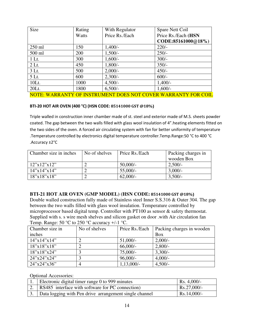| Size     | Rating | With Regulator | Spare Nett Coil     |
|----------|--------|----------------|---------------------|
|          | Watts  | Price Rs./Each | Price Rs./Each (HSN |
|          |        |                | CODE:85161000@18%)  |
| $250$ ml | 150    | $1,400/-$      | $220/-$             |
| 500 ml   | 200    | $1,500/-$      | $250/-$             |
| 1 Lt.    | 300    | $1,600/-$      | $300/-$             |
| $2$ Lt.  | 450    | $1,800/-$      | $350/-$             |
| 3 Lt.    | 500    | $2,000/-$      | $450/-$             |
| 5 Lt.    | 600    | $2,300/-$      | $600/-$             |
| $10Lt$ . | 1000   | $4,500/-$      | $1,400/-$           |
| $20Lt$ . | 1800   | $6,500/-$      | $1,600/-$           |

NOTE: WARRANTY OF INSTRUMENT DOES NOT COVER WARRANTY FOR COIL

#### **BTI-20 HOT AIR OVEN (400 °C) (HSN CODE: 85141000 GST @18%)**

Triple walled in construction inner chamber made of st. steel and exterior made of M.S. sheets powder coated. The gap between the two walls filled with glass wool insulation of 4".heating elements fitted on the two sides of the oven. A forced air circulating system with fan for better uniformity of temperature .Temperature controlled by electronics digital temperature controller.Temp.Range:50 °C to 400 °C .Accuracy ±2°C

| No of shelves<br>Chamber size in inches |  | Price Rs./Each | Packing charges in |
|-----------------------------------------|--|----------------|--------------------|
|                                         |  |                | wooden Box         |
| $12''$ x $12''$ x $12''$                |  | $50,000/-$     | $2,500/-$          |
| $14''$ x $14''$ x $14''$                |  | $55,000/$ -    | $3,000/-$          |
| 18"x18"x18"                             |  | $62,000/-$     | $3,500/-$          |

#### **BTI-21 HOT AIR OVEN (GMP MODEL) (HSN CODE: 85141000 GST @18%)**

Double walled construction fully made of Stainless steel Inner S.S.316 & Outer 304. The gap between the two walls filled with glass wool insulation. Temperature controlled by microprocessor based digital temp. Controller with PT100 as sensor & safety thermostat. Supplied with s. s wire mesh shelves and silicon gasket on door .with Air circulation fan Temp. Range:  $50^{\circ}$ C to  $250^{\circ}$ C accuracy  $+/-1^{\circ}$ C.

| Chamber size in | No of shelves | Price Rs./Each | Packing charges in wooden |
|-----------------|---------------|----------------|---------------------------|
| inches          |               |                | Box                       |
| 14"x14"x14"     |               | $51,000/-$     | $2,000/-$                 |
| 18"x18"x18"     |               | $66,000/-$     | $2,800/-$                 |
| 18"x18"x24"     |               | $75,000/-$     | $3,300/-$                 |
| 24''x24''x24''  |               | $96,000/-$     | $4,000/-$                 |
| $24$ "x24"x36"  |               | $1,13,000/-$   | $4,500/-$                 |

#### Optional Accessories:

| 1. Electronic digital timer range 0 to 999 minutes        | $\vert$ Rs. 4,000/- |
|-----------------------------------------------------------|---------------------|
| 2. RS485 interface with software for PC connection)       | $Rs.27,000/$ -      |
| 3. Data logging with Pen drive arrangement single channel | Rs.14,000/-         |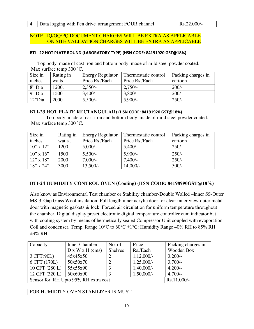#### NOTE : IQ/OQ/PQ DOCUMENT CHARGES WILL BE EXTRA AS APPLICABLE ON SITE VALIDATION CHARGES WILL BE EXTRA AS APPLICABLE

#### **BTI - 22 HOT PLATE ROUND (LABORATORY TYPE) (HSN CODE: 84191920 GST@18%)**

 Top body made of cast iron and bottom body made of mild steel powder coated. Max surface temp 300 ˚C.

| Size in   | Rating in | <b>Energy Regulator</b> | Thermostatic control | Packing charges in |
|-----------|-----------|-------------------------|----------------------|--------------------|
| inches    | watts     | Price Rs./Each          | Price Rs./Each       | cartoon            |
| 8" Dia    | 1200.     | $2,350/-$               | $2,750/-$            | $200/-$            |
| $9"$ Dia  | 1500      | $3,400/-$               | $3,800/-$            | $200/-$            |
| $12"$ Dia | 2000      | $5,500/-$               | $5.900/-$            | $250/-$            |

#### **BTI-23 HOT PLATE RECTANGULAR) (HSN CODE: 84191920 GST@18%)**

 Top body made of cast iron and bottom body made of mild steel powder coated. Max surface temp 300 ˚C.

| Size in         | Rating in | <b>Energy Regulator</b> | Thermostatic control | Packing charges in |
|-----------------|-----------|-------------------------|----------------------|--------------------|
| inches          | watts.    | Price Rs./Each          | Price Rs./Each       | cartoon            |
| $10''$ x $12''$ | 1200      | $5,000/-$               | $5,400/-$            | $250/-$            |
| $10''$ x $16''$ | 1500      | $5,500/-$               | $5.900/-$            | $250/-$            |
| $12$ " x $18$ " | 2000      | $7,000/-$               | $7,400/-$            | $250/-$            |
| $18''$ x $24''$ | 3000      | $13,500/-$              | $14,000/-$           | $500/-$            |

#### **BTI-24 HUMIDITY CONTROL OVEN (Cooling) (HSN CODE: 84198990GST@18%)**

Also know as Environmental Test chamber or Stability chamber-Double Walled –Inner SS-Outer MS-3"Gap Glass Wool insulation: Full length inner acrylic door for clear inner view-outer metal door with magnetic gaskets & lock. Forced air circulation for uniform temperature throughout the chamber. Digital display preset electronic digital temperature controller cum indicator but with cooling system by means of hermetically sealed Compressor Unit coupled with evaporation Coil and condenser. Temp. Range  $10^{\circ}$ C to  $60^{\circ}$ C  $\pm$ 1°C: Humidity Range 40% RH to 85% RH  $\pm$ 3% RH

| Capacity                             | <b>Inner Chamber</b> | No. of         | Price        | Packing charges in |
|--------------------------------------|----------------------|----------------|--------------|--------------------|
|                                      | D x W x H (cms)      | <b>Shelves</b> | Rs./Each     | Wooden Box         |
| 3 CFT(90L)                           | 45x45x50             |                | $1,12,000/-$ | $3,200/-$          |
| 6 CFT (170L)                         | 50x50x70             |                | $1,25,000/-$ | $3,700/-$          |
| 10 CFT (280 L)                       | 55x55x90             |                | $1,40,000/-$ | $4,200/-$          |
| 12 CFT (320 L)                       | 60x60x90             |                | $1,50,000/-$ | $4,700/-$          |
| Sensor for RH Upto 95% RH extra cost | $Rs.11,000/-$        |                |              |                    |

FOR HUMIDITY OVEN STABILIZER IS MUST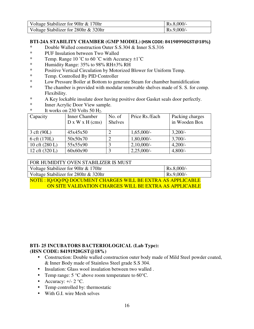| Voltage Stabilizer for 90ltr & 170ltr  | $RS.8,000/-$       |
|----------------------------------------|--------------------|
| Voltage Stabilizer for 280ltr & 320ltr | $\vert$ Rs.9,000/- |

#### **BTI-24A STABILITY CHAMBER (GMP MODEL) (HSN CODE: 84198990GST@18%)**

- \* Double Walled construction Outer S.S.304 & Inner S.S.316<br>\* PHE Insulation between Two Walled
- PUF Insulation between Two Walled
- \* Temp. Range  $10 \degree C$  to  $60 \degree C$  with Accuracy  $\pm 1 \degree C$ <br>\* Humidity Range: 35% to 98% RH+3% RH
- Humidity Range: 35% to 98% RH $\pm$ 3% RH
- \* Positive Vertical Circulation by Motorized Blower for Uniform Temp.
- \* Temp. Controlled By PID Controller
- \* Low Pressure Boiler at Bottom to generate Steam for chamber humidification
- \* The chamber is provided with modular removable shelves made of S. S. for comp. Flexibility.
- \* A Key lockable insulate door having positive door Gasket seals door perfectly.
- \* Inner Acrylic Door View sample.<br>  $*$  It works on 230 Volts 50 H<sub>2</sub>
- It works on  $230$  Volts 50 H<sub>2</sub>.

| Capacity         | <b>Inner Chamber</b><br>D x W x H (cms) | No. of<br><b>Shelves</b> | Price Rs./Each | Packing charges<br>in Wooden Box |
|------------------|-----------------------------------------|--------------------------|----------------|----------------------------------|
| 3 cft (90L)      | 45x45x50                                |                          | $1,65,000/-$   | $3,200/-$                        |
| 6 cft (170L)     | 50x50x70                                |                          | $1,80,000/$ -  | $3,700/-$                        |
| 10 cft $(280 L)$ | 55x55x90                                |                          | 2,10,000/      | $4,200/-$                        |
| 12 cft (320 L)   | 60x60x90                                |                          | 2,25,000/      | $4,800/-$                        |

| FOR HUMIDITY OVEN STABILIZER IS MUST                         |              |
|--------------------------------------------------------------|--------------|
| Voltage Stabilizer for 90ltr & 170ltr                        | $Rs.8,000/-$ |
| Voltage Stabilizer for 280ltr & 320ltr                       | $Rs.9,000/-$ |
| NOTE : IQ/OQ/PQ DOCUMENT CHARGES WILL BE EXTRA AS APPLICABLE |              |
| ON SITE VALIDATION CHARGES WILL BE EXTRA AS APPLICABLE       |              |

#### **BTI- 25 INCUBATORS BACTERIOLOGICAL (Lab Type): (HSN CODE: 84191920GST@18%)**

- Construction: Double walled construction outer body made of Mild Steel powder coated, & Inner Body made of Stainless Steel grade S.S 304.
- Insulation: Glass wool insulation between two walled .
- Temp range:  $5^{\circ}$ C above room temperature to  $60^{\circ}$ C.
- Accuracy:  $+/- 2$  °C.
- Temp controlled by: thermostatic
- With G.I. wire Mesh selves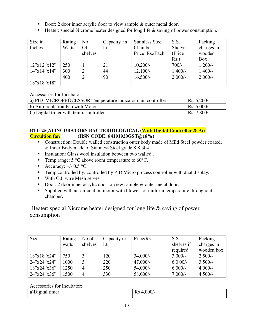- Door: 2 door inner acrylic door to view sample & outer metal door.
- Heater: special Nicrome heater designed for long life & saving of power consumption.

| Size in        | Rating | No            | Capacity in | <b>Stainless Steel</b> | S.S.           | Packing    |
|----------------|--------|---------------|-------------|------------------------|----------------|------------|
| Inches.        | Watts  | <b>Of</b>     | Ltr         | Chamber                | <b>Shelves</b> | charges in |
|                |        | shelves       |             | Price Rs./Each         | (Price         | wooden     |
|                |        |               |             |                        | $Rs.$ )        | Box        |
| 12"x12"x12"    | 250    |               | 21          | $10,200/-$             | $700/-$        | $1,200/-$  |
| 14''x14''x14'' | 300    | ി             | 44          | $12,100/-$             | $1,400/-$      | $1,400/-$  |
|                | 400    | $\mathcal{D}$ | 90          | $16,500/-$             | $2,000/-$      | $2,000/-$  |
| 18"x18"x18"    |        |               |             |                        |                |            |

Accessories for Incubator:

| a) PID MICROPROCESSOR Temperature indicator cum controller | Rs. $5,200/-$ |
|------------------------------------------------------------|---------------|
| b) Air circulation Fan with Motor.                         | Rs. 5,000/-   |
| $\mid$ C) Digital timer with temp. controller              | Rs. 7,800/-   |

#### **BTI- 25(A) INCUBATORS BACTERIOLOGICAL (With Digital Controller & Air Circultion fan) (HSN CODE: 84191920GST@18%)**

- Construction: Double walled construction outer body made of Mild Steel powder coated, & Inner Body made of Stainless Steel grade S.S 304.
- Insulation: Glass wool insulation between two walled .
- Temp range:  $5^{\circ}$ C above room temperature to  $60^{\circ}$ C.
- Accuracy:  $+/- 0.5$  °C.
- Temp controlled by: controlled by PID Micro process controller with dual display.
- With G.I. wire Mesh selves
- Door: 2 door inner acrylic door to view sample & outer metal door.
- Supplied with air circulation motor with blower for uniform temperature throughout chamber.

 Heater: special Nicrome heater designed for long life & saving of power consumption

| Size                         | Rating | No of          | Capacity in | Price/Rs   | S.S        | Packing    |
|------------------------------|--------|----------------|-------------|------------|------------|------------|
|                              | watts  | shelves        | Ltr         |            | shelves if | charges in |
|                              |        |                |             |            | required   | wooden box |
| 18"x18"x24"                  | 750    |                | 120         | $34,000/-$ | $3,000/-$  | $2,500/-$  |
| $24^{\prime\prime}$ x24"x24" | 1000   |                | 220         | $47,000/-$ | $6,000/-$  | $3,500/-$  |
| 18"x24"x36"                  | 1250   | $\overline{4}$ | 250         | $54,000/-$ | $6,000/-$  | $4,000/-$  |
| 24"x24"x36"                  | 1500   | 4              | 330         | 58,000/-   | $7,000/-$  | $4,500/-$  |

Accessories for Incubator:

| Jigital timer<br>a) | 0.00<br>170<br>______ |
|---------------------|-----------------------|
|---------------------|-----------------------|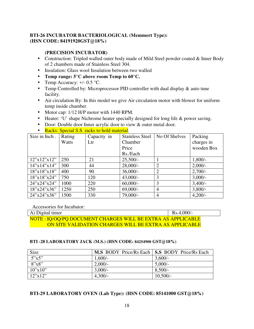#### **BTI-26 INCUBATOR BACTERIOLOGICAL (Memmert Type): (HSN CODE: 84191920GST@18%)**

#### **(PRECISION INCUBATOR)**

- Construction: Tripled walled outer body made of Mild Steel powder coated & Inner Body of 2 chambers made of Stainless Steel 304.
- Insulation: Glass wool Insulation between two walled
- **Temp range: 5°C above room Temp to 60°C.**
- Temp Accuracy:  $+/- 0.5$  °C.
- Temp Controlled by: Microprocessor PID controller with dual display & auto tune facility.
- Air circulation By: In this model we give Air circulation motor with blower for uniform temp inside chamber.
- Motor cap:  $1/12$  H/P motor with 1440 RPM.
- Heater: 'U' shape Nichrome heater specially designed for long life & power saving.
- Door: Double door Inner acrylic door to view & outer metal door.
- Racks: Special S.S. racks to hold material.

| Size in Inch.  | Rating | Capacity in | <b>Stainless Steel</b> | No Of Shelves  | Packing    |
|----------------|--------|-------------|------------------------|----------------|------------|
|                | Watts  | Ltr         | Chamber                |                | charges in |
|                |        |             | Price                  |                | wooden Box |
|                |        |             | Rs./Each               |                |            |
| 12"x12"x12"    | 250    | 21          | $25,500/-$             |                | $1,800/-$  |
| 14"x14"x14"    | 300    | 44          | $28,000/-$             | $\overline{2}$ | $2,000/-$  |
| 18"x18"x18"    | 400    | 90          | $36,000/-$             | $\overline{2}$ | $2,700/-$  |
| 18"x18"x24"    | 750    | 120         | $43,000/-$             | 3              | $3,000/-$  |
| 24''x24''x24'' | 1000   | 220         | $60,000/-$             | 3              | $3,400/-$  |
| 18"x24"x36"    | 1250   | 250         | $69,000/-$             | $\overline{4}$ | $3,800/-$  |
| $24$ "x24"x36" | 1500   | 330         | 79,000/-               | 4              | $4,200/-$  |

Accessories for Incubator:

| A) Digital timer                                             | $Rs.4,000/-$ |
|--------------------------------------------------------------|--------------|
| NOTE : IQ/OQ/PQ DOCUMENT CHARGES WILL BE EXTRA AS APPLICABLE |              |
| ON SITE VALIDATION CHARGES WILL BE EXTRA AS APPLICABLE       |              |

#### **BTI -28 LABORATORY JACK (M.S.) (HSN CODE: 84254900 GST@18%)**

| Size    | M.S BODY Price/Rs Each   S.S BODY Price/Rs Each |            |
|---------|-------------------------------------------------|------------|
| 5"x5"   | $1,600/-$                                       | $3,600/-$  |
| 8"x8"   | $2,000/$ -                                      | $5,000/-$  |
| 10"x10" | $3,000/-$                                       | $8,500/-$  |
| 12"x12" | $4,300/-$                                       | $10,500/-$ |

#### **BTI-29 LABORATORY OVEN (Lab Type): (HSN CODE: 85141000 GST@18%)**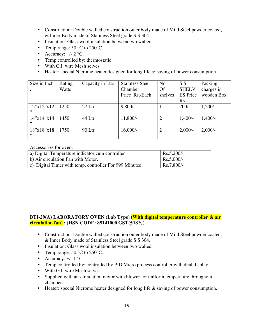- Construction: Double walled construction outer body made of Mild Steel powder coated, & Inner Body made of Stainless Steel grade S.S 304.
- Insulation: Glass wool insulation between two walled.
- Temp range:  $50^{\circ}$ C to  $250^{\circ}$ C.
- Accuracy:  $+/- 2$  °C.
- Temp controlled by: thermostatic
- With G.I. wire Mesh selves
- Heater: special Nicrome heater designed for long life & saving of power consumption.

| Size in Inch       | Rating | Capacity in Ltrs | <b>Stainless Steel</b> | N <sub>o</sub> | S.S             | Packing    |
|--------------------|--------|------------------|------------------------|----------------|-----------------|------------|
|                    | Watts  |                  | Chamber                | <b>Of</b>      | <b>SHELV</b>    | charges in |
|                    |        |                  | Price Rs./Each         | shelves        | <b>ES</b> Price | wooden Box |
|                    |        |                  |                        |                | Rs.             |            |
| 12"x12"x12<br>,,   | 1250   | $27$ Ltr         | $9,800/-$              |                | $700/-$         | $1,200/-$  |
| 14''x14''x14<br>,, | 1450   | 44 Ltr           | $11,800/-$             | $\overline{2}$ | $1,400/-$       | $1,400/-$  |
| 18''x18''x18<br>,, | 1750   | 90 Ltr           | $16,000/-$             |                | $2,000/-$       | $2,000/-$  |

#### Accessories for oven:

| a) Digital Temperature indicator cum controller        | $Rs.5,200/-$ |
|--------------------------------------------------------|--------------|
| b) Air circulation Fan with Motor.                     | $Rs.5,000/-$ |
| c) Digital Timer with temp. controller For 999 Minutes | $Rs.7,800/-$ |

#### **BTI-29(A) LABORATORY OVEN (Lab Type) (With digital temperature controller & air circulation fan) : (HSN CODE: 85141000 GST@18%)**

- Construction: Double walled construction outer body made of Mild Steel powder coated, & Inner Body made of Stainless Steel grade S.S 304.
- Insulation: Glass wool insulation between two walled.
- Temp range: 50 °C to 250°C.
- Accuracy:  $+/- 1$  °C.
- Temp controlled by: controlled by PID Micro process controller with dual display
- With G.I. wire Mesh selves
- Supplied with air circulation motor with blower for uniform temperature throughout chamber.
- Heater: special Nicrome heater designed for long life & saving of power consumption.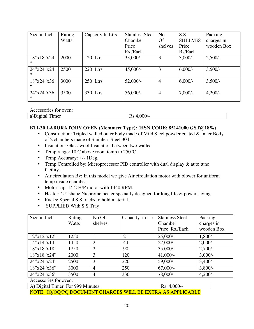| Size in Inch        | Rating | Capacity In Ltrs | <b>Stainless Steel</b> | No             | S.S            | Packing    |
|---------------------|--------|------------------|------------------------|----------------|----------------|------------|
|                     | Watts  |                  | Chamber                | Of             | <b>SHELVES</b> | charges in |
|                     |        |                  | Price                  | shelves        | Price          | wooden Box |
|                     |        |                  | Rs./Each               |                | Rs/Each        |            |
| 18''x18''x24<br>,,  | 2000   | 120 Ltrs         | $33,000/-$             | 3              | $3,000/-$      | $2,500/-$  |
| 24''x24''x24<br>,,  | 2500   | 220 Ltrs         | $45,000/-$             | 3              | $6,000/-$      | $3,500/-$  |
| 18''x24''x36<br>, , | 3000   | 250 Ltrs         | $52,000/-$             | $\overline{4}$ | $6,000/-$      | $3,500/-$  |
| 24''x24''x36<br>, , | 3500   | 330 Ltrs         | $56,000/-$             | $\overline{4}$ | $7,000/-$      | $4,200/-$  |

Accessories for oven:

| T<br>imer<br>a)L<br>ленаг<br>$\cdots$<br>. | በበበ<br>.vvv<br>172<br>______<br>- - - - |
|--------------------------------------------|-----------------------------------------|

#### **BTI-30 LABORATORY OVEN (Memmert Type): (HSN CODE: 85141000 GST@18%)**

- Construction: Tripled walled outer body made of Mild Steel powder coated & Inner Body of 2 chambers made of Stainless Steel 304.
- Insulation: Glass wool Insulation between two walled
- Temp range: 10 C above room temp to 250 °C.
- Temp Accuracy:  $+/- 1$ Deg.
- Temp Controlled by: Microprocessor PID controller with dual display & auto tune facility.
- Air circulation By: In this model we give Air circulation motor with blower for uniform temp inside chamber.
- Motor cap:  $1/12$  H/P motor with 1440 RPM.
- Heater: 'U' shape Nichrome heater specially designed for long life & power saving.
- Racks: Special S.S. racks to hold material.
- SUPPLIED With S.S.Tray

| Rating | No Of          | Capacity in Ltr | <b>Stainless Steel</b> | Packing    |
|--------|----------------|-----------------|------------------------|------------|
| Watts  | shelves        |                 |                        | charges in |
|        |                |                 | Price Rs./Each         | wooden Box |
| 1250   |                | 21              | $25,000/-$             | $1,800/-$  |
| 1450   | $\overline{2}$ | 44              | $27,000/-$             | $2,000/-$  |
| 1750   | $\overline{2}$ | 90              | $35,000/-$             | $2,700/-$  |
| 2000   | 3              | 120             | $41,000/-$             | $3,000/-$  |
| 2500   | 3              | 220             | 59,000/-               | $3,400/-$  |
| 3000   | $\overline{4}$ | 250             | $67,000/-$             | $3,800/-$  |
| 3500   | $\overline{4}$ | 330             | 78,000/-               | $4,200/-$  |
|        |                |                 |                        | Chamber    |

Accessories for oven:

A) Digital Timer For 999 Minutes. Rs. 4,000/-NOTE : IQ/OQ/PQ DOCUMENT CHARGES WILL BE EXTRA AS APPLICABLE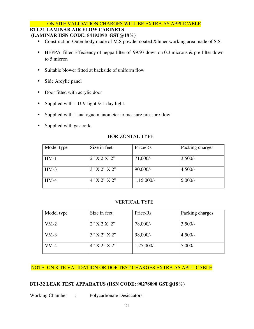#### ON SITE VALIDATION CHARGES WILL BE EXTRA AS APPLICABLE

#### **BTI-31 LAMINAR AIR FLOW CABINETS**

#### **(LAMINAR HSN CODE: 84192090 GST@18%)**

- Construction-Outer body made of M.S powder coated &Inner working area made of S.S.
- HEPPA filter-Effeciency of heppa filter of 99.97 down on 0.3 microns & pre filter down to 5 micron
- Suitable blower fitted at backside of uniform flow.
- Side Arcylic panel
- Door fitted with acrylic door
- Supplied with 1 U.V light & 1 day light.
- Supplied with 1 analogue manometer to measure pressure flow
- Supplied with gas cork.

#### HORIZONTAL TYPE

| Model type | Size in feet          | Price/Rs     | Packing charges |
|------------|-----------------------|--------------|-----------------|
| $HM-1$     | 2"X2X2"               | $71,000/-$   | $3,500/-$       |
| $HM-3$     | $3''$ X $2''$ X $2''$ | $90,000/-$   | $4,500/-$       |
| $HM-4$     | $4''$ X 2" X 2"       | $1,15,000/-$ | $5,000/-$       |

#### VERTICAL TYPE

| Model type | Size in feet          | Price/Rs     | Packing charges |
|------------|-----------------------|--------------|-----------------|
| $VM-2$     | 2"X2X2"               | $78,000/-$   | $3,500/-$       |
| $VM-3$     | $3''$ X $2''$ X $2''$ | 98,000/-     | $4,500/-$       |
| $VM-4$     | $4"$ X 2" X 2"        | $1,25,000/-$ | $5,000/-$       |

#### NOTE: ON SITE VALIDATION OR DOP TEST CHARGES EXTRA AS APLLICABLE

#### **BTI-32 LEAK TEST APPARATUS (HSN CODE: 90278090 GST@18%)**

Working Chamber : Polycarbonate Desiccators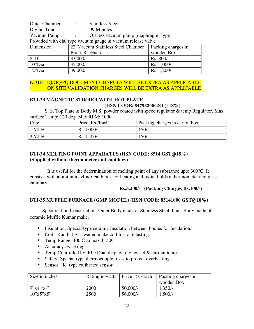| <b>Outer Chamber</b>                                          |                          | <b>Stainless Steel</b>                |                    |  |
|---------------------------------------------------------------|--------------------------|---------------------------------------|--------------------|--|
| Digital Timer                                                 | $\overline{\mathcal{C}}$ | 99 Minutes                            |                    |  |
| Vacuum Pump                                                   |                          | Oil less vacuum pump (diaphragm Type) |                    |  |
| Provided with dial type vacuum gauge $&$ vacuum release valve |                          |                                       |                    |  |
| Dimension                                                     |                          | 22"Vaccum Stainless Steel Chamber     | Packing charges in |  |
|                                                               |                          | Price Rs./Each                        | wooden Box         |  |
| 8"Dia                                                         | $33,000/-$               |                                       | Rs. 800/-          |  |
| 10"Dia                                                        | $35,000/-$               |                                       | Rs. 1,000/-        |  |
| $12"$ Dia                                                     | $39,000/-$               |                                       | Rs .1,200/-        |  |

#### NOTE : IQ/OQ/PQ DOCUMENT CHARGES WILL BE EXTRA AS APPLICABLE ON SITE VALIDATION CHARGES WILL BE EXTRA AS APPLICABLE

#### **BTI-33 MAGNETIC STIRRER WITH HOT PLATE (HSN CODE: 84798200GST@18%)**

 S. S. Top Plate & Body M.S. powder coated with speed regulator & temp Regulator. Max surface Temp: 120 deg. Max RPM: 1000

| Cap:    | Price Rs./Each | Packing charges in carton box |
|---------|----------------|-------------------------------|
| 1 MLH   | $Rs.4,000/-$   | $150/-$                       |
| $2$ MLH | $Rs.4,500/-$   | $150/-$                       |

#### **BTI-34 MELTING POINT APPARATUS (HSN CODE: 8514 GST@18%) (Supplied without thermometer and capillary)**

 It is useful for the determination of melting point of any substance upto 300°C. It consists with aluminum cylindrical block for heating and radial holds a thermometer and glass capillary.

**Rs.3,200/- (Packing Charges Rs.100/-)** 

#### **BTI-35 MUFFLE FURNACE (GMP MODEL) (HSN CODE: 85141000 GST@18%)**

 Specification:Construction: Outer Body made of Stainless Steel. Inner Body made of ceramic Muffle Kumar make.

- Insulation: Special type ceramic Insulation between bodies for Insulation.
- Coil: Kanthal A1 swaden make coil for long lasting.
- Temp Range: 400 C to max 1150C.
- Accuracy:  $+/- 3$  deg.
- Temp Controlled by: PID Dual display to view set & current temp.
- Safety: Special type thermocouple fuses to protect overheating.
- Sensor: 'K' type calibrated sensor.

| Size in inches | Rating in watts   Price Rs./Each |            | Packing charges in |
|----------------|----------------------------------|------------|--------------------|
|                |                                  |            | wooden Box         |
| 9"x4"x4"       | 2000                             | $50,000/-$ | $1,350/-$          |
| 10"x5"x5"      | 2500                             | $56,000/-$ | $1,500/-$          |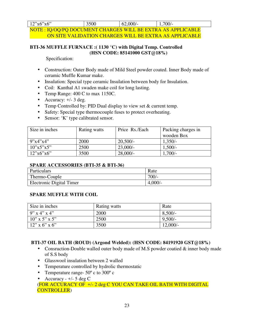| 12"x6"x6"                                                    | 3500 | 62,000/ | $1,700/-$                                              |
|--------------------------------------------------------------|------|---------|--------------------------------------------------------|
| NOTE : IQ/OQ/PQ DOCUMENT CHARGES WILL BE EXTRA AS APPLICABLE |      |         |                                                        |
|                                                              |      |         | ON SITE VALIDATION CHARGES WILL BE EXTRA AS APPLICABLE |

#### **BTI-36 MUFFLE FURNACE :( 1130 °C) with Digital Temp. Controlled (HSN CODE: 85141000 GST@18%)**

Specification:

- Construction: Outer Body made of Mild Steel powder coated. Inner Body made of ceramic Muffle Kumar make.
- Insulation: Special type ceramic Insulation between body for Insulation.
- Coil: Kanthal A1 swaden make coil for long lasting.
- Temp Range: 400 C to max 1150C.
- Accuracy:  $+/- 3$  deg.
- Temp Controlled by: PID Dual display to view set & current temp.
- Safety: Special type thermocouple fuses to protect overheating.
- Sensor: 'K' type calibrated sensor.

| Size in inches | Rating watts | Price Rs./Each | Packing charges in |
|----------------|--------------|----------------|--------------------|
|                |              |                | wooden Box         |
| 9''x4''x4''    | 2000         | $20,500/-$     | $1,350/-$          |
| 10"x5"x5"      | 2500         | $23,000/-$     | $1,500/-$          |
| 12"x6"x6"      | 3500         | $28,000/$ -    | $1,700/-$          |

#### **SPARE ACCESSORIES (BTI-35 & BTI-36)**

| <b>Particulars</b>       | Rate      |
|--------------------------|-----------|
| Thermo-Couple            | 700/-     |
| Electronic Digital Timer | $4,000/-$ |

#### **SPARE MUFFLE WITH COIL**

| Size in inches   | Rating watts | Rate      |
|------------------|--------------|-----------|
| $9''$ x 4" x 4"  | 2000         | 8,500/    |
| $10''$ x 5" x 5" | 2500         | $9,500/-$ |
| $12"$ x 6" x 6"  | 3500         | 12,000/   |

#### **BTI-37 OIL BATH (ROUD) (Argond Welded): (HSN CODE: 84191920 GST@18%)**

- Consruction-Double walled outer body made of M.S powder coatied & inner body made of S.S body
- Glasswool insulation between 2 walled
- Temperature controlled by hydrolic thermostatic
- Temperature range-  $50^{\circ}$  c to  $300^{\circ}$  c
- Accuracy  $+/- 5$  deg C

(FOR ACCURACY OF +/- 2 deg C YOU CAN TAKE OIL BATH WITH DIGITAL CONTROLLER)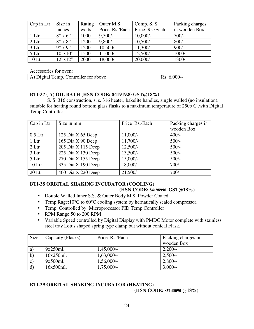| Cap in Ltr | Size in        | Rating | Outer M.S.     | Comp. S. S.    | Packing charges |
|------------|----------------|--------|----------------|----------------|-----------------|
|            | inches         | watts  | Price Rs./Each | Price Rs./Each | in wooden Box   |
| 1 Ltr      | $8" \times 6"$ | 1000   | $9,500/-$      | $10,000/-$     | $700/-$         |
| 2 Ltr      | $8''$ x $8''$  | 1200   | $9,800/-$      | $10,500/-$     | $800/-$         |
| 3 Ltr      | $9''$ x $9''$  | 1200   | $10,500/-$     | $11,300/-$     | $900/-$         |
| 5 Ltr      | 10"x10"        | 1500   | $11,000/-$     | $12,500/-$     | $1000/-$        |
| $10$ Ltr   | 12"x12"        | 2000   | $18,000/-$     | $20,000/-$     | $1300/-$        |

Accessories for oven:

| A) Digital Temp. Controller for above | $\vert$ Rs. 6,000/- |
|---------------------------------------|---------------------|

#### **BTI-37 ( A) OIL BATH (HSN CODE: 84191920 GST@18%)**

 S. S. 316 construction, s. s. 316 heater, bakelite handles, single walled (no insulation), suitable for heating round bottom glass flasks to a maximum temperature of 250o C .with Digital Temp.Controller.

| Cap in Ltr | Size in mm         | Price Rs./Each | Packing charges in |
|------------|--------------------|----------------|--------------------|
|            |                    |                | wooden Box         |
| $0.5$ Ltr  | 125 Dia X 65 Deep  | $11,000/-$     | $400/-$            |
| 1 Ltr      | 165 Dia X 90 Deep  | $11,700/-$     | $500/-$            |
| 2 Ltr      | 205 Dia X 115 Deep | $12,500/-$     | $500/-$            |
| 3 Ltr      | 225 Dia X 130 Deep | $13,500/-$     | $500/-$            |
| 5 Ltr      | 270 Dia X 155 Deep | $15,000/-$     | $500/-$            |
| $10$ Ltr   | 335 Dia X 190 Deep | $18,000/-$     | $700/-$            |
| $20$ Ltr   | 400 Dia X 220 Deep | $21,500/-$     | $700/-$            |

#### **BTI-38 ORBITAL SHAKING INCUBATOR (COOLING)**

#### **(HSN CODE: 84198990 GST@18%)**

- Double Walled Inner S.S. & Outer Body M.S. Powder Coated.
- Temp.Rage:10°C to 60°C cooling system by hernatically sealed compressor.
- Temp. Controlled by: Microprocessor PID Temp Controller
- RPM Range: 50 to 200 RPM
- Variable Speed controlled by Digital Display with PMDC Motor complete with stainless steel tray Lotus shaped spring type clamp but without conical Flask.

| Size                  | Capacity (Flasks) | Price Rs./Each | Packing charges in |
|-----------------------|-------------------|----------------|--------------------|
|                       |                   |                | wooden Box         |
| a)                    | 9x250ml.          | $1,45,000/-$   | $2,200/-$          |
| b)                    | 16x250ml.         | $1,63,000/-$   | $2,500/-$          |
| $\mathbf{C}$          | 9x500ml.          | $1,56,000/-$   | $2,800/-$          |
| $\mathbf{d}^{\prime}$ | 16x500ml.         | $1,75,000/-$   | $3,000/-$          |

#### **BTI-39 ORBITAL SHAKING INCUBATOR (HEATING) (HSN CODE: 85143090 @18%)**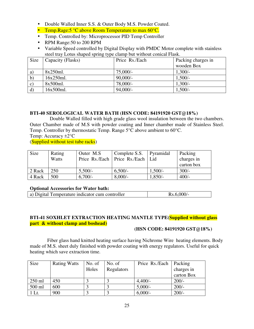- Double Walled Inner S.S. & Outer Body M.S. Powder Coated.
- Temp.Rage:5 °C above Room Temperature to max 60°C.
- Temp. Controlled by: Microprocessor PID Temp Controller
- RPM Range: 50 to 200 RPM
- Variable Speed controlled by Digital Display with PMDC Motor complete with stainless steel tray Lotus shaped spring type clamp but without conical Flask.

| Size         | Capacity (Flasks) | Price Rs./Each | Packing charges in |
|--------------|-------------------|----------------|--------------------|
|              |                   |                | wooden Box         |
| a            | 8x250ml.          | $75,000/-$     | $1,300/-$          |
| $\mathbf{b}$ | 16x250ml.         | $90,000/-$     | $1,500/-$          |
| c            | 8x500ml.          | 78,000/-       | $1,300/-$          |
| $\mathbf{d}$ | 16x500ml.         | $94,000/-$     | $1,500/-$          |

#### **BTI-40 SEROLOGICAL WATER BATH (HSN CODE: 84191920 GST@18%)**

 Double Walled filled with high grade glass wool insulation between the two chambers. Outer Chamber made of M.S with powder coating and Inner chamber made of Stainless Steel. Temp. Controller by thermostatic Temp. Range 5°C above ambient to 60°C.

Temp: Accuracy ±2°C

(Supplied without test tube racks)

| Size   | Rating<br>Watts | Outer M.S. | Complete S.S.<br>Price Rs./Each   Price Rs./Each   Lid | Pyramidal | Packing<br>charges in<br>carton box |
|--------|-----------------|------------|--------------------------------------------------------|-----------|-------------------------------------|
| 2 Rack | 250             | $5,500/-$  | $6,500/-$                                              | $1,500/-$ | $300/-$                             |
| 4 Rack | 500             | $6,700/-$  | $8,000/-$                                              | $1,850/-$ | $400/-$                             |

#### **Optional Accessories for Water bath:**

| a) Digital Temperature indicator cum controller | Rs.6,000/- |
|-------------------------------------------------|------------|
|-------------------------------------------------|------------|

#### **BTI-41 SOXHLET EXTRACTION HEATING MANTLE TYPE(Supplied without glass part & without clamp and boshead)**

#### **(HSN CODE: 84191920 GST@18%)**

 Fiber glass hand knitted heating surface having Nichrome Wire heating elements. Body made of M.S. sheet duly finished with powder coating with energy regulators. Useful for quick heating which save extraction time.

| Size     | <b>Rating Watts</b> | No. of | No. of     | Price Rs./Each | Packing    |
|----------|---------------------|--------|------------|----------------|------------|
|          |                     | Holes  | Regulators |                | charges in |
|          |                     |        |            |                | carton Box |
| $250$ ml | 450                 |        |            | $4,400/-$      | $200/-$    |
| 500 ml   | 600                 |        |            | $5,000/-$      | $200/-$    |
| 1 Lt.    | 900                 |        |            | $6,000/-$      | $200/-$    |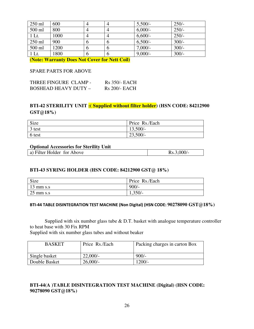| $250$ ml | 600  |   |   | $5,500/-$  | $250/-$ |
|----------|------|---|---|------------|---------|
| 500 ml   | 800  |   |   | $6,000/-$  | $250/-$ |
| 1 Lt.    | 1000 |   |   | $6,600/$ - | $250/-$ |
| 250 ml   | 900  | O |   | $6,500/-$  | $300/-$ |
| 500 ml   | 1200 | O |   | $7,000/-$  | $300/-$ |
| 1 Lt.    | 1800 | O | n | $9,000/-$  | $300/-$ |

**(Note: Warranty Does Not Cover for Nett Coil)** 

#### SPARE PARTS FOR ABOVE

| THREE FINGURE CLAMP -       | R <sub>s</sub> 350/- EACH |
|-----------------------------|---------------------------|
| <b>BOSHEAD HEAVY DUTY -</b> | R <sub>s</sub> 200/- EACH |

#### **BTI-42 STERILITY UNIT :( Supplied without filter holder) (HSN CODE: 84212900 GST@18%)**

| Size   | Price Rs./Each |
|--------|----------------|
| 3 test | $13,500/-$     |
| 6 test | $23,500/-$     |

#### **Optional Accessories for Sterility Unit**

| a) Filter Holder for Above | $Rs.3,000/-$ |
|----------------------------|--------------|
|                            |              |

#### **BTI-43 SYRING HOLDER (HSN CODE: 84212900 GST@ 18%)**

| Size                | Price Rs./Each |
|---------------------|----------------|
| $13 \text{ mm s.s}$ | $900/-$        |
| $25 \text{ mm s.s}$ | $1,350/-$      |

#### **BTI-44 TABLE DISINTEGRATION TEST MACHINE (Non Digital) (HSN CODE: 90278090 GST@18%)**

Supplied with six number glass tube  $& D.T.$  basket with analogue temperature controller to heat base with 30 Fix RPM

Supplied with six number glass tubes and without beaker

| <b>BASKET</b> | Price Rs./Each | Packing charges in carton Box |
|---------------|----------------|-------------------------------|
| Single basket | 22,000/        | $900/-$                       |
| Double Basket | 26,000/        | $1200/-$                      |

#### **BTI-44(A )TABLE DISINTEGRATION TEST MACHINE (Digital) (HSN CODE: 90278090 GST@18%)**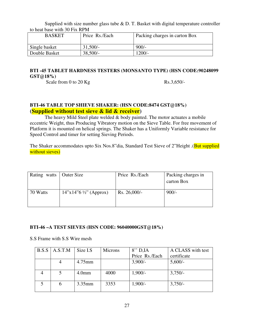Supplied with size number glass tube  $\&$  D. T. Basket with digital temperature controller to heat base with 30 Fix RPM

| <b>BASKET</b> | Price Rs./Each | Packing charges in carton Box |
|---------------|----------------|-------------------------------|
| Single basket | $31,500/-$     | $900/-$                       |
| Double Basket | $38,500/-$     | $1200/-$                      |

#### **BTI -45 TABLET HARDNESS TESTERS (MONSANTO TYPE) (HSN CODE:90248099 GST@18%)**

Scale from 0 to 20 Kg Rs.3,650/-

#### **BTI-46 TABLE TOP SHIEVE SHAKER: (HSN CODE:8474 GST@18%) (Supplied without test sieve & lid & receiver)**

 The heavy Mild Steel plate welded & body painted. The motor actuates a mobile eccentric Weight, thus Producing Vibratory motion on the Sieve Table. For free movement of Platform it is mounted on helical springs. The Shaker has a Uniformly Variable resistance for Speed Control and timer for setting Sieving Periods.

The Shaker accommodates upto Six Nos.8"dia, Standard Test Sieve of 2"Height .(**But supplied** without sieves)

| Rating watts | Outer Size           | Price Rs./Each  | Packing charges in |
|--------------|----------------------|-----------------|--------------------|
|              |                      |                 | carton Box         |
|              |                      |                 |                    |
| 70 Watts     | 14"x14"6'2" (Approx) | $Rs. 26,000/$ - | $900/-$            |
|              |                      |                 |                    |
|              |                      |                 |                    |

#### **BTI-46 –A TEST SIEVES (HSN CODE: 96040000GST@18%)**

S.S Frame with S.S Wire mesh

| B.S.S | A.S.T.M | Size I.S          | Microns | $8''$ D, IA    | A CLASS with test |
|-------|---------|-------------------|---------|----------------|-------------------|
|       |         |                   |         | Price Rs./Each | certificate       |
|       |         | $4.75$ mm         |         | $3,900/-$      | $5,600/-$         |
|       |         |                   |         |                |                   |
|       |         | 4.0 <sub>mm</sub> | 4000    | $1,900/-$      | $3,750/-$         |
|       |         | $3.35$ mm         | 3353    | $1,900/-$      | $3,750/-$         |
|       |         |                   |         |                |                   |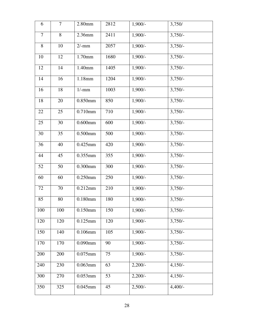| 6      | 7   | 2.80mm     | 2812 | $1,900/-$ | 3,750/    |
|--------|-----|------------|------|-----------|-----------|
| $\tau$ | 8   | 2.36mm     | 2411 | $1,900/-$ | $3,750/-$ |
| $8\,$  | 10  | $2/-mm$    | 2057 | $1,900/-$ | $3,750/-$ |
| 10     | 12  | 1.70mm     | 1680 | $1,900/-$ | $3,750/-$ |
| 12     | 14  | 1.40mm     | 1405 | $1,900/-$ | $3,750/-$ |
| 14     | 16  | 1.18mm     | 1204 | $1,900/-$ | $3,750/-$ |
| 16     | 18  | $1/-mm$    | 1003 | $1,900/-$ | $3,750/-$ |
| 18     | 20  | 0.850mm    | 850  | $1,900/-$ | $3,750/-$ |
| 22     | 25  | 0.710mm    | 710  | $1,900/-$ | $3,750/-$ |
| 25     | 30  | $0.600$ mm | 600  | $1,900/-$ | $3,750/-$ |
| 30     | 35  | $0.500$ mm | 500  | $1,900/-$ | $3,750/-$ |
| 36     | 40  | 0.425mm    | 420  | $1,900/-$ | $3,750/-$ |
| 44     | 45  | 0.355mm    | 355  | $1,900/-$ | $3,750/-$ |
| 52     | 50  | $0.300$ mm | 300  | $1,900/-$ | $3,750/-$ |
| 60     | 60  | 0.250mm    | 250  | $1,900/-$ | $3,750/-$ |
| 72     | 70  | 0.212mm    | 210  | $1,900/-$ | $3,750/-$ |
| 85     | 80  | 0.180mm    | 180  | $1,900/-$ | $3,750/-$ |
| 100    | 100 | $0.150$ mm | 150  | $1,900/-$ | $3,750/-$ |
| 120    | 120 | $0.125$ mm | 120  | $1,900/-$ | $3,750/-$ |
| 150    | 140 | 0.106mm    | 105  | $1,900/-$ | $3,750/-$ |
| 170    | 170 | $0.090$ mm | 90   | $1,900/-$ | $3,750/-$ |
| 200    | 200 | $0.075$ mm | 75   | $1,900/-$ | $3,750/-$ |
| 240    | 230 | $0.063$ mm | 63   | $2,200/-$ | $4,150/-$ |
| 300    | 270 | $0.053$ mm | 53   | $2,200/-$ | $4,150/-$ |
| 350    | 325 | $0.045$ mm | 45   | $2,500/-$ | $4,400/-$ |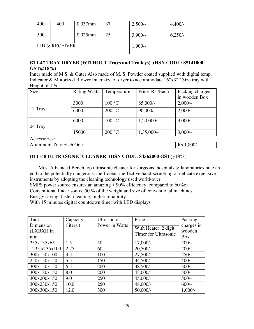| 400 | 400            | $0.037$ mm | 37 | $2,500/-$ | $4,400/-$ |
|-----|----------------|------------|----|-----------|-----------|
| 500 |                | $0.025$ mm | 25 | $3,900/-$ | $6,250/-$ |
|     | LID & RECEIVER |            |    | $1,900/-$ |           |

#### **BTI-47 TRAY DRYER (WITHOUT Trays and Trolleys) (HSN CODE: 85141000 GST@18%)**

Inner made of M.S. & Outer Also made of M. S. Powder coated supplied with digital temp. Indicator & Motorized Blower Inner size of dryer to accommodate 16"x32" Size tray with Height of  $1\frac{1}{4}$ ".

| Size                   | <b>Rating Watts</b> | Temperature | Price Rs./Each | Packing charges |
|------------------------|---------------------|-------------|----------------|-----------------|
|                        |                     |             |                | in wooden Box   |
|                        | 3000                | 100 °C      | $85,000/-$     | $2,000/-$       |
| 12 Tray                | 6000                | 200 °C      | $90,000/-$     | $2,000/-$       |
|                        | 6000                | 100 °C      | $1,20,000/-$   | $3,000/-$       |
| 24 Tray                |                     |             |                |                 |
|                        | 15000               | 200 °C      | $1,35,000/-$   | $3,000/-$       |
| Accessories:           |                     |             |                |                 |
| Aluminum Tray Each One |                     |             |                | Rs.1,800/-      |

#### **BTI -48 ULTRASONIC CLEANER (HSN CODE: 84562000 GST@18%)**

 Most Advanced Bench top ultrasonic cleaner for surgeons, hospitals & laboratories pute an end to the potentially dangerous, inefficient, ineffective hand-scrubbing of delicate expensive instruments by adopting the cleaning technology used world-over.

SMPS power source ensures an amazing > 90% efficiency, compared to 60%of Conventional linear source.50 % of the weight and size of conventional machines.

Energy saving, faster cleaning, higher reliability.

With 15 minutes digital countdown timer with LED displays

| Tank                         | Capacity  | Ultrasonic     | Price                                       | Packing                            |
|------------------------------|-----------|----------------|---------------------------------------------|------------------------------------|
| Dimension<br>(LXBXH in<br>mm | (liters.) | Power in Watts | With Heater 2 digit<br>Timer for Ultrasonic | charges in<br>wooden<br><b>Box</b> |
| 235x135x65                   | 1.5       | 50             | $17,000/-$                                  | $200/-$                            |
| 235 x135x100                 | 2.25      | 60             | $20,500/-$                                  | $200/-$                            |
| 300x150x100                  | 3.5       | 100            | $27,500/-$                                  | $250/-$                            |
| 250x150x150                  | 5.5       | 150            | $34,500/-$                                  | $400/-$                            |
| 300x150x150                  | 6.5       | 200            | $38,500/-$                                  | $300/-$                            |
| 300x180x150                  | 8.0       | 200            | $43,000/-$                                  | $500/-$                            |
| 300x200x150                  | 9.0       | 250            | $45,000/-$                                  | $500/-$                            |
| 300x230x150                  | 10.0      | 250            | $48,000/-$                                  | $600/-$                            |
| 300x300x150                  | 12.0      | 300            | $50,000/$ -                                 | $1,000/-$                          |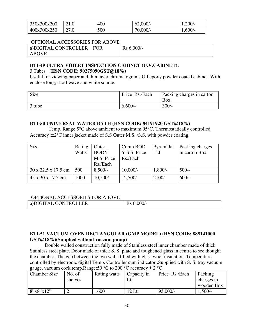| 350x300x200 |      | 400 | 62,000/  | $1,200/-$ |
|-------------|------|-----|----------|-----------|
| 400x300x250 | 27.0 | 500 | 70,000/- | $1,600/-$ |

#### OPTIONAL ACCESSORIES FOR ABOVE

| a)DIGITAL CONTROLLER | FOR | $Rs 6,000/-$ |
|----------------------|-----|--------------|
| ABOVE                |     |              |

#### **BTI-49 ULTRA VOILET INSPECTION CABINET (U.V.CABINET):**  3 Tubes **(HSN CODE: 90275090GST@18%)**

Useful for viewing paper and thin layer chromatograms G.I.epoxy powder coated cabinet. With enclose long, short wave and white source.

| Size   | Price Rs./Each | Packing charges in carton |
|--------|----------------|---------------------------|
|        |                | <b>Box</b>                |
| 3 tube | $6,600/-$      | $300/-$                   |

#### **BTI-50 UNIVERSAL WATER BATH (HSN CODE: 84191920 GST@18%)**

 Temp. Range 5°C above ambient to maximum 95°C. Thermostatically controlled. Accuracy  $\pm 2^{\circ}$ C inner jacket made of S.S Outer M.S. /S.S. with powder coating.

| Size                | Rating | Outer       | Comp.BOD    | Pyramidal | Packing charges |
|---------------------|--------|-------------|-------------|-----------|-----------------|
|                     | Watts  | <b>BODY</b> | Y S.S Price | Lid       | in carton Box   |
|                     |        | M.S. Price  | Rs./Each    |           |                 |
|                     |        | Rs./Each    |             |           |                 |
| 30 x 22.5 x 17.5 cm | 500    | $8,500/-$   | $10,000/-$  | $1,800/-$ | $500/-$         |
| 45 x 30 x 17.5 cm   | 1000   | $10,500/-$  | $12,500/-$  | $2100/-$  | $600/-$         |

#### OPTIONAL ACCESSORIES FOR ABOVE

| a)DIGITAL<br><b>CONTROLLER</b><br>∩∩∩<br>-JUU/-<br>172 |
|--------------------------------------------------------|
|--------------------------------------------------------|

#### **BTI-51 VACUUM OVEN RECTANGULAR (GMP MODEL) (HSN CODE: 885141000 GST@18%)(Supplied without vaccum pump)**

Double walled construction fully made of Stainless steel inner chamber made of thick Stainless steel plate. Door made of thick S. S. plate and toughened glass in centre to see thought the chamber. The gap between the two walls filled with glass wool insulation. Temperature controlled by electronic digital Temp. Controller cum indicator .Supplied with S. S. tray vacuum gauge, vacuum cock.temp.Range:50  $^{\circ}$ C to 200  $^{\circ}$ C accuracy  $\pm$  2  $^{\circ}$ C.

| <b>Chamber Size</b> | No. of  | Rating watts | Capacity in | Price Rs./Each | Packing    |
|---------------------|---------|--------------|-------------|----------------|------------|
|                     | shelves |              | Ltr         |                | charges in |
|                     |         |              |             |                | wooden Box |
| 8"x8"x12"           |         | 600          | 12 Ltr      | $93,000/-$     | $1,500/-$  |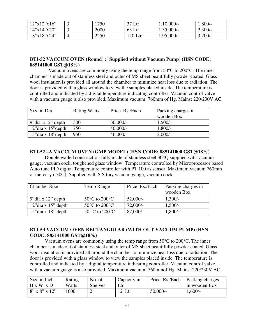| 12"x12"x16" | 750  | 37 Ltr  | $1,10,000/$ - | $1,800/-$ |
|-------------|------|---------|---------------|-----------|
| 14"x14"x20" | 2000 | 63 Ltr  | $1,35,000/-$  | $2,300/-$ |
| 18"x18"x24" | 2250 | 120 Ltr | $1,95,000/-$  | 3,200/    |

#### **BTI-52 VACCUM OVEN (Round) :( Supplied without Vacuum Pump) (HSN CODE: 885141000 GST@18%)**

 Vacuum ovens are commonly using the temp range from 50°C to 200°C. The inner chamber is made out of stainless steel and outer of MS sheet beautifully powder coated. Glass wool insulation is provided all around the chamber to minimize heat loss due to radiation. The door is provided with a glass window to view the samples placed inside. The temperature is controlled and indicated by a digital temperature indicating controller. Vacuum control valve with a vacuum guage is also provided. Maximum vacuum: 760mm of Hg. Mains: 220/230V.AC.

| Size in Dia             | <b>Rating Watts</b> | Price Rs./Each | Packing charges in |
|-------------------------|---------------------|----------------|--------------------|
|                         |                     |                | wooden Box         |
| 9" dia $x12$ " depth    | 300                 | 30,000/        | $1,500/-$          |
| $12$ "dia x $15$ "depth | 750                 | $40,000/-$     | $1,800/-$          |
| $15$ "dia x $18$ "depth | 950                 | $46,000/$ -    | $2,000/$ -         |

#### **BTI-52 –A VACCUM OVEN (GMP MODEL) (HSN CODE: 885141000 GST@18%)**

Double walled construction fully made of stainless steel 304Q supplied with vacuum gauge, vacuum cock, toughened glass window. Temperature controlled by Microprocessor based Auto tune PID digital Temperature controller with PT 100 as sensor. Maximum vacuum 760mm of mercury (-30C). Supplied with S.S tray vacuum gauge, vacuum cock.

| <b>Chamber Size</b>           | Temp Range                         | Price Rs./Each | Packing charges in |
|-------------------------------|------------------------------------|----------------|--------------------|
|                               |                                    |                | wooden Box         |
| $\frac{9}{3}$ dia x 12" depth | $50^{\circ}$ C to $200^{\circ}$ C  | $52,000/-$     | $1,300/-$          |
| $\vert$ 12" dia x 15" depth   | $50^{\circ}$ C to 200 $^{\circ}$ C | $72,000/-$     | $1,500/-$          |
| $\vert$ 15" dia x 18" depth   | $50^{\circ}$ C to $200^{\circ}$ C  | $87,000/-$     | $1,800/-$          |

#### **BTI-53 VACCUM OVEN RECTANGULAR (WITH OUT VACCUM PUMP) (HSN CODE: 885141000 GST@18%)**

Vacuum ovens are commonly using the temp range from  $50^{\circ}$ C to  $200^{\circ}$ C. The inner chamber is made out of stainless steel and outer of MS sheet beautifully powder coated. Glass wool insulation is provided all around the chamber to minimize heat loss due to radiation. The door is provided with a glass window to view the samples placed inside. The temperature is controlled and indicated by a digital temperature indicating controller. Vacuum control valve with a vacuum guage is also provided. Maximum vacuum: 760mmof Hg. Mains: 220/230V.AC.

| Size in Inch           | Rating | No. of         | Capacity in |         | $\vert$ Price Rs./Each   Packing charges |
|------------------------|--------|----------------|-------------|---------|------------------------------------------|
| $H \times W \times D$  | Watts  | <b>Shelves</b> |             |         | in wooden Box                            |
| $8''$ x $8''$ x $12''$ | 1600   |                | $12$ Ltr    | 50,000/ | $1,600/-$                                |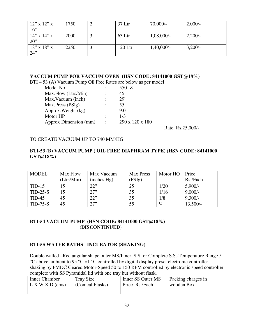| $12$ " x $12$ " x | 1750 | $37$ Ltr  | $70,000/-$   | 2,000/    |
|-------------------|------|-----------|--------------|-----------|
| 16"               |      |           |              |           |
| $14''$ x $14''$ x | 2000 | 63 Ltr    | $1,08,000/-$ | $2,200/-$ |
| 20                |      |           |              |           |
| $18''$ x $18''$ x | 2250 | $120$ Ltr | $1,40,000/-$ | $3,200/-$ |
| 24"               |      |           |              |           |

#### **VACCUM PUMP FOR VACCUM OVEN (HSN CODE: 84141000 GST@18%)**

BTI – 53 (A) Vacuum Pump Oil Free Rates are below as per model

| Model No              | $550 - Z$       |  |
|-----------------------|-----------------|--|
| Max.Flow (Ltrs/Min)   | 45              |  |
| Max. Vacuum (inch)    | 29"             |  |
| Max.Press (PSIg)      | 55              |  |
| Approx. Weight (kg)   | 9.0             |  |
| Motor HP              | 1/3             |  |
| Approx Dimension (mm) | 290 x 120 x 180 |  |
|                       |                 |  |

Rate: Rs.25,000/-

#### TO CREATE VACUUM UP TO 740 MM/HG

#### **BTI-53 (B) VACCUM PUMP ( OIL FREE DIAPHRAM TYPE) (HSN CODE: 84141000 GST@18%)**

| <b>MODEL</b> | Max Flow<br>(Ltrs/Min) | Max Vaccum<br>(inches Hg) | <b>Max Press</b><br>(PSIg) | Motor HO      | Price<br>Rs./Each |
|--------------|------------------------|---------------------------|----------------------------|---------------|-------------------|
| $TID-15$     |                        | 22"                       | 25                         | 1/20          | $5,900/-$         |
| $TID-25-S$   | 15                     | 27"                       | 35                         | 1/16          | $9,000/-$         |
| $TID-45$     | 45                     | 22"                       | 35                         | 1/8           | $9,300/-$         |
| $TID-75-S$   | 45                     | 27"                       | 55                         | $\frac{1}{4}$ | $13,500/-$        |

#### **BTI-54 VACUUM PUMP**: **(HSN CODE: 84141000 GST@18%) (DISCONTINUED)**

#### **BTI-55 WATER BATHS –INCUBATOR (SHAKING)**

Double walled –Rectangular shape outer MS/Inner S.S. or Complete S.S.-Temperature Range 5  $\rm{°C}$  above ambient to 95  $\rm{°C}$  ±1  $\rm{°C}$  controlled by digital display preset electronic controllershaking by PMDC Geared Motor-Speed 50 to 150 RPM controlled by electronic speed controller complete with SS Pyramidal lid with one tray but without flask.

| Inner Chamber              | Tray Size        | Inner SS Outer MS | Packing charges in |
|----------------------------|------------------|-------------------|--------------------|
| $\mathbf{L}$ X W X D (cms) | (Conical Flasks) | Price Rs./Each    | wooden Box         |
|                            |                  |                   |                    |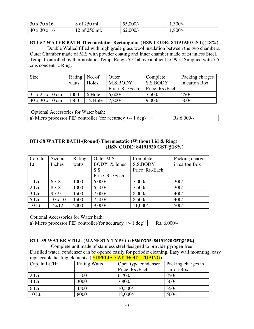| $30 \times 30 \times 16$ | $8$ of 250 ml.  | 55,000/- | $1,300/-$ |
|--------------------------|-----------------|----------|-----------|
| $40 \times 30 \times 16$ | $12$ of 250 ml. | 62,000/  | $1,800/-$ |

#### **BTI-57 WATER BATH Thermostatic- Rectangular (HSN CODE: 84191920 GST@18%)**

 Double Walled filled with high grade glass wool insulation between the two chambers. Outer Chamber made of M.S with powder coating and Inner chamber made of Stainless Steel. Temp. Controlled by thermostatic. Temp. Range 5°C above ambient to 99°C.Supplied with 7.5 cms concentric Ring.

| Size                                | Rating | No. of  | Outer          | Complete       | Packing charges |
|-------------------------------------|--------|---------|----------------|----------------|-----------------|
|                                     | watts  | Holes   | M.S.BODY       | S.S.BODY       | in carton Box   |
|                                     |        |         | Price Rs./Each | Price Rs./Each |                 |
| 35 x 25 x 10 cm                     | 1000   | 6 Hole  | $6,600/-$      | $7,500/-$      | $250/-$         |
| $40 \times 30 \times 10 \text{ cm}$ | 1500   | 12 Hole | 7,800/         | $9,000/-$      | $300/-$         |

Optional Accessories for Water bath:

| a) Micro processor PID controller (for accuracy $+/- 1$ deg) | Rs.6,000/ |
|--------------------------------------------------------------|-----------|

#### **BTI-58 WATER BATH-(Round) Thermostatic (Without Lid & Ring) (HSN CODE: 84191920 GST@18%)**

| Cap. In           | Size in        | Rating | Outer M.S.     | Complete       | Packing charges |
|-------------------|----------------|--------|----------------|----------------|-----------------|
| Lt.               | Inches         | watts  | BODY & Inner   | S.S.BODY       | in carton Box   |
|                   |                |        | S.S            | Price Rs./Each |                 |
|                   |                |        | Price Rs./Each |                |                 |
| 1 Ltr             | 6 x 8          | 1000   | $6,000/-$      | $7,000/-$      | $300/-$         |
| 2 Ltr             | 8 x 8          | 1000   | $6,500/-$      | $7,500/-$      | $300/-$         |
| 3 Ltr             | 9x9            | 1500   | $7,000/-$      | $8,000/-$      | $400/-$         |
| 5 Ltr             | $10 \times 10$ | 1500   | $7,500/-$      | $8,500/-$      | $400/-$         |
| 10 <sub>ctr</sub> | 12x12          | 2000   | $9,000/-$      | $11,000/-$     | $500/-$         |

Optional Accessories for Water bath:

a) Micro processor PID controller(for accuracy  $+/- 1$  deg)  $\vert$  Rs. 6,000/-

#### **BTI -59 WATER STILL (MANESTY TYPE) ) (HSN CODE: 84191920 GST@18%)**

 Complete unit made of stainless steel designed to provide pyrogen free Distilled water, condenser can be opened easily for periodic cleaning. Easy wall mounting, easy replaceable heating elements. ( **SUPPLIED WITHOUT TUBING**)

| $\vert$ Cap. In Lt./Hr. | <b>Rating Watts</b> | Open type condenser | Packing charges in |
|-------------------------|---------------------|---------------------|--------------------|
|                         |                     | Price Rs./Each      | carton Box         |
| 2 Ltr                   | 1500                | $6,700/-$           | $250/-$            |
| 4 Ltr                   | 3000                | $7,800/-$           | $300/-$            |
| 6 Ltr                   | 4500                | $10,500/-$          | $350/-$            |
| $10$ Ltr                | 8000                | 18,000/-            | $500/-$            |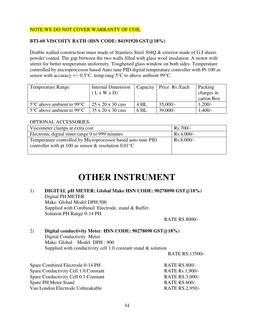#### NOTE:WE DO NOT COVER WARRANTY OF COIL

#### **BTI-60 VISCOITY BATH (HSN CODE: 84191920 GST@18%)**

Double walled construction inner made of Stainless Steel 304Q & exterior made of G.I sheets powder coated. The gap between the two walls filled with glass wool insulation. A motor with stirrer for better temperature uniformity. Toughened glass window on both sides. Temperature controlled by microprocessor based Auto tune PID digital temperature controller with Pt-100 as sensor with accuracy +/- 0.5°C. temp.rang:5°C to above ambient 99°C.

| <b>Temperature Range</b>                       | <b>Internal Dimension</b>    |        | Capacity   Price Rs./Each | Packing    |
|------------------------------------------------|------------------------------|--------|---------------------------|------------|
|                                                | (L x W x D)                  |        |                           | charges in |
|                                                |                              |        |                           | carton Box |
| $5^{\circ}$ C above ambient to 99 $^{\circ}$ C | $25 \times 20 \times 30$ cms | 4 HL   | $35,000/-$                | $1,200/-$  |
| $5^{\circ}$ C above ambient to 99 $^{\circ}$ C | 35 x 20 x 30 cms             | $6$ HL | $39,000/-$                | $1,400/-$  |

#### OPTIONAL ACCESSORIES:

| Viscometer clamps at extra cost                                | $Rs.700/-$   |
|----------------------------------------------------------------|--------------|
| Electronic digital timer range 0 to 999 minutes                | $Rs.4,000/-$ |
| Temperature controlled by Microprocessor based auto tune PID   | $Rs.8,000/-$ |
| controller with pt 100 as sensor & resolution $0.01^{\circ}$ C |              |
|                                                                |              |

## **OTHER INSTRUMENT**

1) **DIGITAL pH METER: Global Make HSN CODE: 90278090 GST@18%)**  Digital PH METER Make: Global Model DPH:500 Supplied with Combined Electrode, stand & Buffer. Solution PH Range 0-14 PH.

RATE RS.8000/-

#### 2) **Digital conductivity Meter**: **HSN CODE: 90278090 GST@18%)**  Digital Conductivity Meter

 Make: Global Model DPH : 900 Supplied with conductivity cell 1.0 constant stand & solution

RATE RS.13500/-

Spare Combired Electrode 0-14 PH RATE RS.800/-Spare Conductivity Cell 1.0 Constant RATE Rs.1,900/-Spare Conductivity Cell 0.1 Constant RATE RS.5,000/-Spare PH Meter Stand RATE RS.600/-Van London Electrode Unbreakable RATE RS.2,950/-